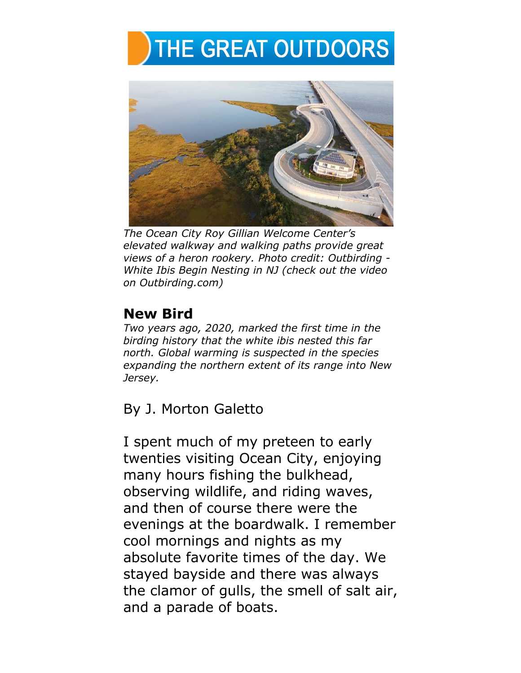## THE GREAT OUTDOORS



*The Ocean City Roy Gillian Welcome Center's elevated walkway and walking paths provide great views of a heron rookery. Photo credit: Outbirding - White Ibis Begin Nesting in NJ (check out the video on Outbirding.com)*

## **New Bird**

*Two years ago, 2020, marked the first time in the birding history that the white ibis nested this far north. Global warming is suspected in the species expanding the northern extent of its range into New Jersey.*

By J. Morton Galetto

I spent much of my preteen to early twenties visiting Ocean City, enjoying many hours fishing the bulkhead, observing wildlife, and riding waves, and then of course there were the evenings at the boardwalk. I remember cool mornings and nights as my absolute favorite times of the day. We stayed bayside and there was always the clamor of gulls, the smell of salt air, and a parade of boats.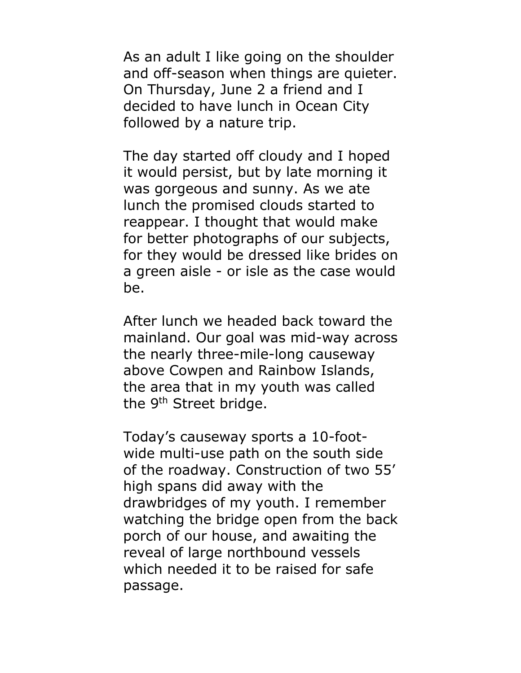As an adult I like going on the shoulder and off-season when things are quieter. On Thursday, June 2 a friend and I decided to have lunch in Ocean City followed by a nature trip.

The day started off cloudy and I hoped it would persist, but by late morning it was gorgeous and sunny. As we ate lunch the promised clouds started to reappear. I thought that would make for better photographs of our subjects, for they would be dressed like brides on a green aisle - or isle as the case would be.

After lunch we headed back toward the mainland. Our goal was mid-way across the nearly three-mile-long causeway above Cowpen and Rainbow Islands, the area that in my youth was called the 9<sup>th</sup> Street bridge.

Today's causeway sports a 10-footwide multi-use path on the south side of the roadway. Construction of two 55' high spans did away with the drawbridges of my youth. I remember watching the bridge open from the back porch of our house, and awaiting the reveal of large northbound vessels which needed it to be raised for safe passage.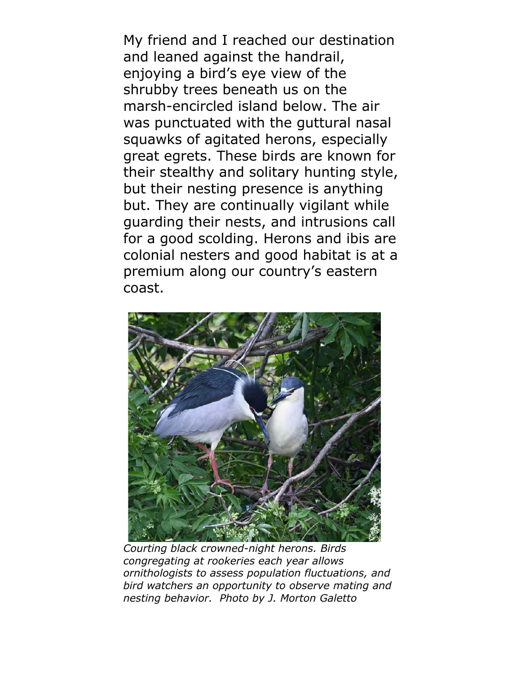My friend and I reached our destination and leaned against the handrail, enjoying a bird's eye view of the shrubby trees beneath us on the marsh-encircled island below. The air was punctuated with the guttural nasal squawks of agitated herons, especially great egrets. These birds are known for their stealthy and solitary hunting style, but their nesting presence is anything but. They are continually vigilant while guarding their nests, and intrusions call for a good scolding. Herons and ibis are colonial nesters and good habitat is at a premium along our country's eastern coast.



*Courting black crowned-night herons. Birds congregating at rookeries each year allows ornithologists to assess population fluctuations, and bird watchers an opportunity to observe mating and nesting behavior. Photo by J. Morton Galetto*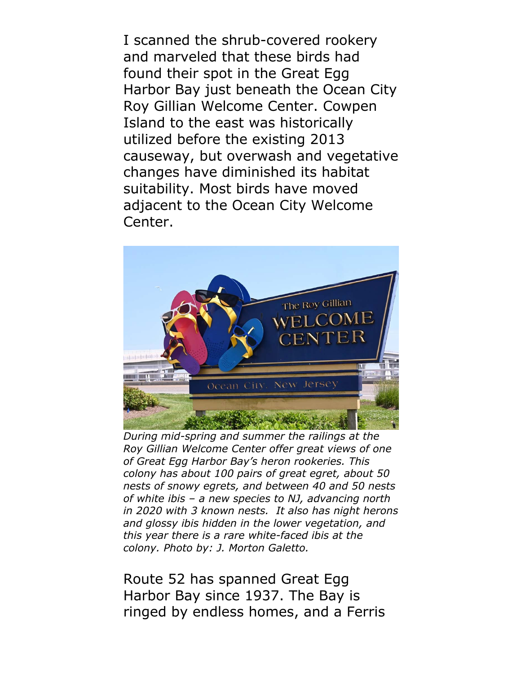I scanned the shrub-covered rookery and marveled that these birds had found their spot in the Great Egg Harbor Bay just beneath the Ocean City Roy Gillian Welcome Center. Cowpen Island to the east was historically utilized before the existing 2013 causeway, but overwash and vegetative changes have diminished its habitat suitability. Most birds have moved adjacent to the Ocean City Welcome Center.



*During mid-spring and summer the railings at the Roy Gillian Welcome Center offer great views of one of Great Egg Harbor Bay's heron rookeries. This colony has about 100 pairs of great egret, about 50 nests of snowy egrets, and between 40 and 50 nests of white ibis – a new species to NJ, advancing north in 2020 with 3 known nests. It also has night herons and glossy ibis hidden in the lower vegetation, and this year there is a rare white-faced ibis at the colony. Photo by: J. Morton Galetto.* 

Route 52 has spanned Great Egg Harbor Bay since 1937. The Bay is ringed by endless homes, and a Ferris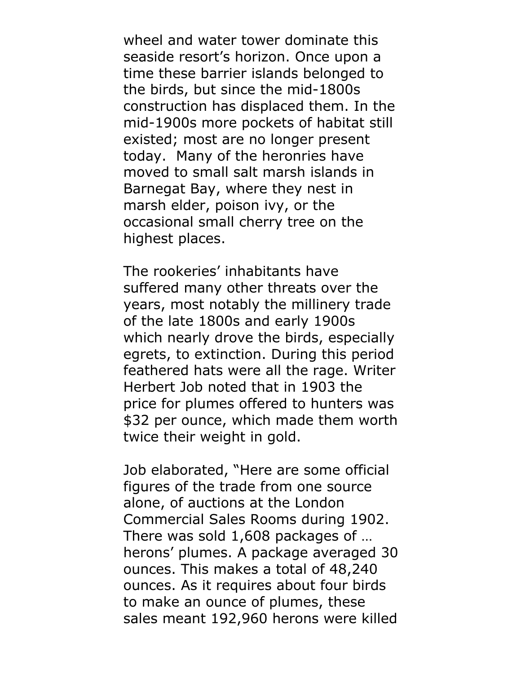wheel and water tower dominate this seaside resort's horizon. Once upon a time these barrier islands belonged to the birds, but since the mid-1800s construction has displaced them. In the mid-1900s more pockets of habitat still existed; most are no longer present today. Many of the heronries have moved to small salt marsh islands in Barnegat Bay, where they nest in marsh elder, poison ivy, or the occasional small cherry tree on the highest places.

The rookeries' inhabitants have suffered many other threats over the years, most notably the millinery trade of the late 1800s and early 1900s which nearly drove the birds, especially egrets, to extinction. During this period feathered hats were all the rage. Writer Herbert Job noted that in 1903 the price for plumes offered to hunters was \$32 per ounce, which made them worth twice their weight in gold.

Job elaborated, "Here are some official figures of the trade from one source alone, of auctions at the London Commercial Sales Rooms during 1902. There was sold 1,608 packages of … herons' plumes. A package averaged 30 ounces. This makes a total of 48,240 ounces. As it requires about four birds to make an ounce of plumes, these sales meant 192,960 herons were killed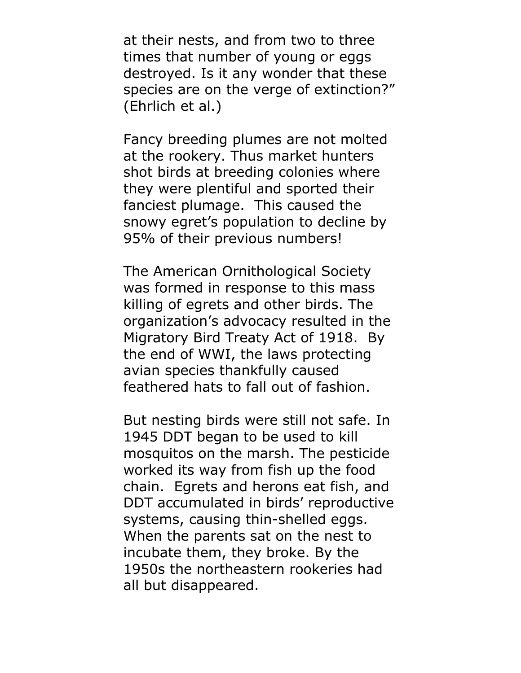at their nests, and from two to three times that number of young or eggs destroyed. Is it any wonder that these species are on the verge of extinction?" (Ehrlich et al.)

Fancy breeding plumes are not molted at the rookery. Thus market hunters shot birds at breeding colonies where they were plentiful and sported their fanciest plumage. This caused the snowy egret's population to decline by 95% of their previous numbers!

The American Ornithological Society was formed in response to this mass killing of egrets and other birds. The organization's advocacy resulted in the Migratory Bird Treaty Act of 1918. By the end of WWI, the laws protecting avian species thankfully caused feathered hats to fall out of fashion.

But nesting birds were still not safe. In 1945 DDT began to be used to kill mosquitos on the marsh. The pesticide worked its way from fish up the food chain. Egrets and herons eat fish, and DDT accumulated in birds' reproductive systems, causing thin-shelled eggs. When the parents sat on the nest to incubate them, they broke. By the 1950s the northeastern rookeries had all but disappeared.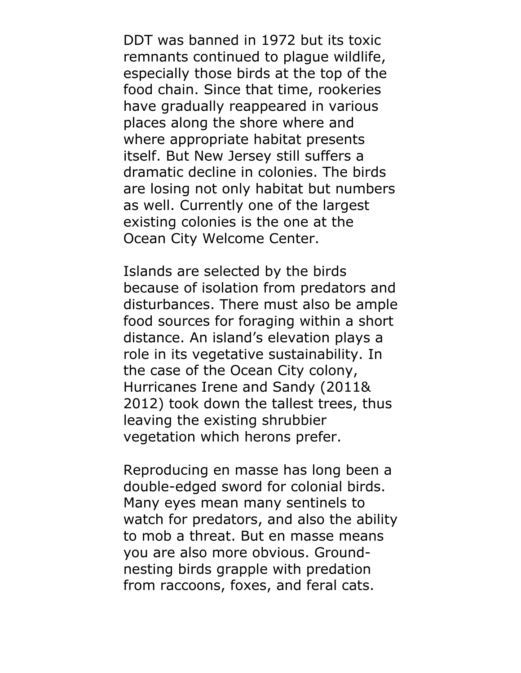DDT was banned in 1972 but its toxic remnants continued to plague wildlife, especially those birds at the top of the food chain. Since that time, rookeries have gradually reappeared in various places along the shore where and where appropriate habitat presents itself. But New Jersey still suffers a dramatic decline in colonies. The birds are losing not only habitat but numbers as well. Currently one of the largest existing colonies is the one at the Ocean City Welcome Center.

Islands are selected by the birds because of isolation from predators and disturbances. There must also be ample food sources for foraging within a short distance. An island's elevation plays a role in its vegetative sustainability. In the case of the Ocean City colony, Hurricanes Irene and Sandy (2011& 2012) took down the tallest trees, thus leaving the existing shrubbier vegetation which herons prefer.

Reproducing en masse has long been a double-edged sword for colonial birds. Many eyes mean many sentinels to watch for predators, and also the ability to mob a threat. But en masse means you are also more obvious. Groundnesting birds grapple with predation from raccoons, foxes, and feral cats.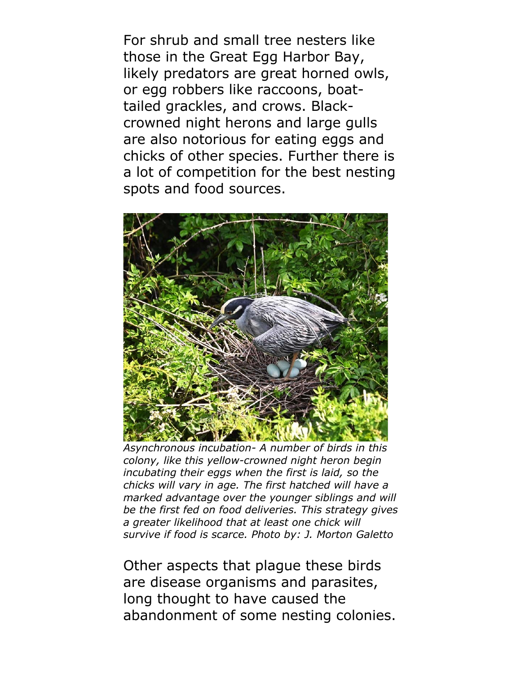For shrub and small tree nesters like those in the Great Egg Harbor Bay, likely predators are great horned owls, or egg robbers like raccoons, boattailed grackles, and crows. Blackcrowned night herons and large gulls are also notorious for eating eggs and chicks of other species. Further there is a lot of competition for the best nesting spots and food sources.



*Asynchronous incubation- A number of birds in this colony, like this yellow-crowned night heron begin incubating their eggs when the first is laid, so the chicks will vary in age. The first hatched will have a marked advantage over the younger siblings and will be the first fed on food deliveries. This strategy gives a greater likelihood that at least one chick will survive if food is scarce. Photo by: J. Morton Galetto*

Other aspects that plague these birds are disease organisms and parasites, long thought to have caused the abandonment of some nesting colonies.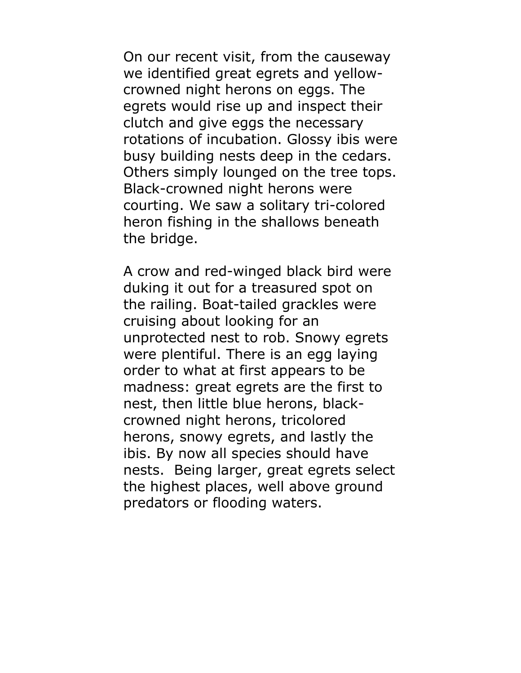On our recent visit, from the causeway we identified great egrets and yellowcrowned night herons on eggs. The egrets would rise up and inspect their clutch and give eggs the necessary rotations of incubation. Glossy ibis were busy building nests deep in the cedars. Others simply lounged on the tree tops. Black-crowned night herons were courting. We saw a solitary tri-colored heron fishing in the shallows beneath the bridge.

A crow and red-winged black bird were duking it out for a treasured spot on the railing. Boat-tailed grackles were cruising about looking for an unprotected nest to rob. Snowy egrets were plentiful. There is an egg laying order to what at first appears to be madness: great egrets are the first to nest, then little blue herons, blackcrowned night herons, tricolored herons, snowy egrets, and lastly the ibis. By now all species should have nests. Being larger, great egrets select the highest places, well above ground predators or flooding waters.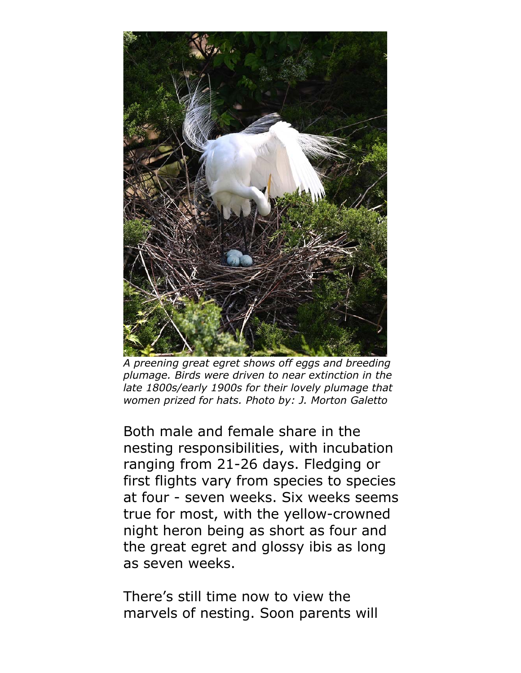

*A preening great egret shows off eggs and breeding plumage. Birds were driven to near extinction in the late 1800s/early 1900s for their lovely plumage that women prized for hats. Photo by: J. Morton Galetto*

Both male and female share in the nesting responsibilities, with incubation ranging from 21-26 days. Fledging or first flights vary from species to species at four - seven weeks. Six weeks seems true for most, with the yellow-crowned night heron being as short as four and the great egret and glossy ibis as long as seven weeks.

There's still time now to view the marvels of nesting. Soon parents will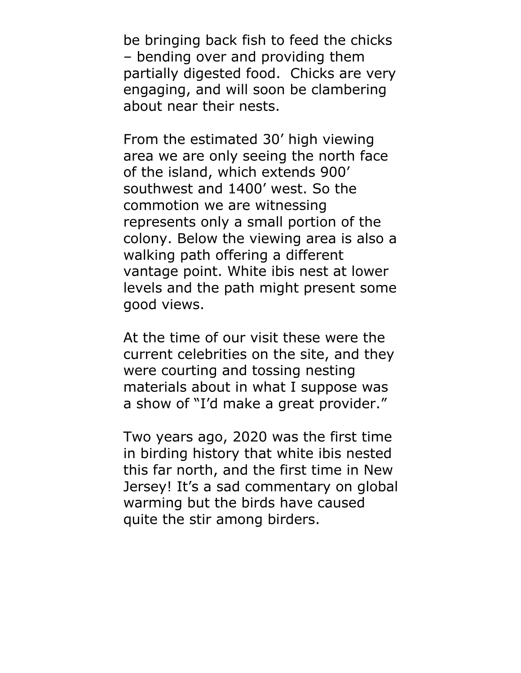be bringing back fish to feed the chicks – bending over and providing them partially digested food. Chicks are very engaging, and will soon be clambering about near their nests.

From the estimated 30' high viewing area we are only seeing the north face of the island, which extends 900' southwest and 1400' west. So the commotion we are witnessing represents only a small portion of the colony. Below the viewing area is also a walking path offering a different vantage point. White ibis nest at lower levels and the path might present some good views.

At the time of our visit these were the current celebrities on the site, and they were courting and tossing nesting materials about in what I suppose was a show of "I'd make a great provider."

Two years ago, 2020 was the first time in birding history that white ibis nested this far north, and the first time in New Jersey! It's a sad commentary on global warming but the birds have caused quite the stir among birders.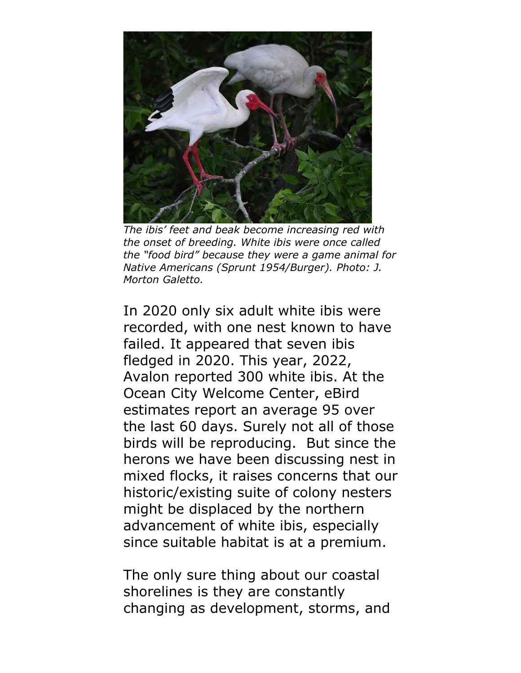

*The ibis' feet and beak become increasing red with the onset of breeding. White ibis were once called the "food bird" because they were a game animal for Native Americans (Sprunt 1954/Burger). Photo: J. Morton Galetto.*

In 2020 only six adult white ibis were recorded, with one nest known to have failed. It appeared that seven ibis fledged in 2020. This year, 2022, Avalon reported 300 white ibis. At the Ocean City Welcome Center, eBird estimates report an average 95 over the last 60 days. Surely not all of those birds will be reproducing. But since the herons we have been discussing nest in mixed flocks, it raises concerns that our historic/existing suite of colony nesters might be displaced by the northern advancement of white ibis, especially since suitable habitat is at a premium.

The only sure thing about our coastal shorelines is they are constantly changing as development, storms, and